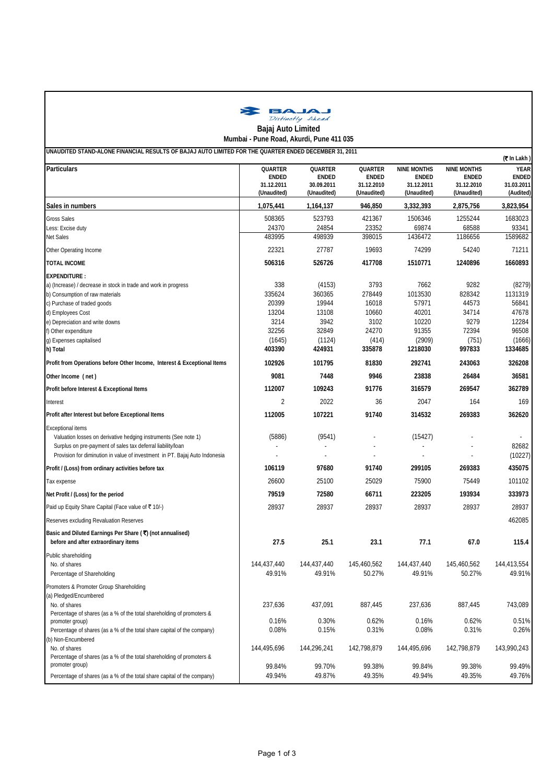

## **UNAUDITED STAND-ALONE FINANCIAL RESULTS OF BAJAJ AUTO LIMITED FOR THE QUARTER ENDED DECEMBER 31, 2011 Mumbai - Pune Road, Akurdi, Pune 411 035**

|                                                                                                                                                                                                                                           | UNAUDITED STAND-ALUNE FINANCIAL RESULTS OF DAJAJ AUTO LIMITED FOR THE QUARTER ENDED DECEMBER 31, 2011 |                                                      |                                               |                                                                 |                                                                 | (₹In Lakh)                                             |  |
|-------------------------------------------------------------------------------------------------------------------------------------------------------------------------------------------------------------------------------------------|-------------------------------------------------------------------------------------------------------|------------------------------------------------------|-----------------------------------------------|-----------------------------------------------------------------|-----------------------------------------------------------------|--------------------------------------------------------|--|
| <b>Particulars</b>                                                                                                                                                                                                                        | QUARTER<br>ENDED<br>31.12.2011<br>(Unaudited)                                                         | QUARTER<br><b>ENDED</b><br>30.09.2011<br>(Unaudited) | QUARTER<br>ENDED<br>31.12.2010<br>(Unaudited) | <b>NINE MONTHS</b><br><b>ENDED</b><br>31.12.2011<br>(Unaudited) | <b>NINE MONTHS</b><br><b>ENDED</b><br>31.12.2010<br>(Unaudited) | <b>YEAR</b><br><b>ENDED</b><br>31.03.2011<br>(Audited) |  |
| Sales in numbers                                                                                                                                                                                                                          | 1,075,441                                                                                             | 1,164,137                                            | 946,850                                       | 3,332,393                                                       | 2,875,756                                                       | 3,823,954                                              |  |
| <b>Gross Sales</b>                                                                                                                                                                                                                        | 508365                                                                                                | 523793                                               | 421367                                        | 1506346                                                         | 1255244                                                         | 1683023                                                |  |
| Less: Excise duty                                                                                                                                                                                                                         | 24370                                                                                                 | 24854                                                | 23352                                         | 69874                                                           | 68588                                                           | 93341                                                  |  |
| Net Sales                                                                                                                                                                                                                                 | 483995                                                                                                | 498939                                               | 398015                                        | 1436472                                                         | 1186656                                                         | 1589682                                                |  |
| Other Operating Income                                                                                                                                                                                                                    | 22321                                                                                                 | 27787                                                | 19693                                         | 74299                                                           | 54240                                                           | 71211                                                  |  |
| <b>TOTAL INCOME</b>                                                                                                                                                                                                                       | 506316                                                                                                | 526726                                               | 417708                                        | 1510771                                                         | 1240896                                                         | 1660893                                                |  |
| EXPENDITURE :                                                                                                                                                                                                                             |                                                                                                       |                                                      |                                               |                                                                 |                                                                 |                                                        |  |
| a) (Increase) / decrease in stock in trade and work in progress                                                                                                                                                                           | 338                                                                                                   | (4153)                                               | 3793                                          | 7662                                                            | 9282                                                            | (8279)                                                 |  |
| b) Consumption of raw materials                                                                                                                                                                                                           | 335624                                                                                                | 360365                                               | 278449                                        | 1013530                                                         | 828342                                                          | 1131319                                                |  |
| c) Purchase of traded goods                                                                                                                                                                                                               | 20399                                                                                                 | 19944                                                | 16018                                         | 57971                                                           | 44573                                                           | 56841                                                  |  |
| d) Employees Cost                                                                                                                                                                                                                         | 13204                                                                                                 | 13108                                                | 10660                                         | 40201                                                           | 34714                                                           | 47678                                                  |  |
| e) Depreciation and write downs                                                                                                                                                                                                           | 3214                                                                                                  | 3942                                                 | 3102                                          | 10220                                                           | 9279                                                            | 12284                                                  |  |
| f) Other expenditure                                                                                                                                                                                                                      | 32256                                                                                                 | 32849                                                | 24270                                         | 91355                                                           | 72394                                                           | 96508                                                  |  |
| g) Expenses capitalised                                                                                                                                                                                                                   | (1645)                                                                                                | (1124)                                               | (414)                                         | (2909)                                                          | (751)                                                           | (1666)                                                 |  |
| h) Total                                                                                                                                                                                                                                  | 403390                                                                                                | 424931                                               | 335878                                        | 1218030                                                         | 997833                                                          | 1334685                                                |  |
| Profit from Operations before Other Income, Interest & Exceptional Items                                                                                                                                                                  | 102926                                                                                                | 101795                                               | 81830                                         | 292741                                                          | 243063                                                          | 326208                                                 |  |
| Other Income (net)                                                                                                                                                                                                                        | 9081                                                                                                  | 7448                                                 | 9946                                          | 23838                                                           | 26484                                                           | 36581                                                  |  |
| Profit before Interest & Exceptional Items                                                                                                                                                                                                | 112007                                                                                                | 109243                                               | 91776                                         | 316579                                                          | 269547                                                          | 362789                                                 |  |
| Interest                                                                                                                                                                                                                                  | 2                                                                                                     | 2022                                                 | 36                                            | 2047                                                            | 164                                                             | 169                                                    |  |
| Profit after Interest but before Exceptional Items                                                                                                                                                                                        | 112005                                                                                                | 107221                                               | 91740                                         | 314532                                                          | 269383                                                          | 362620                                                 |  |
| <b>Exceptional items</b><br>Valuation losses on derivative hedging instruments (See note 1)<br>Surplus on pre-payment of sales tax deferral liability/loan<br>Provision for diminution in value of investment in PT. Bajaj Auto Indonesia | (5886)                                                                                                | (9541)                                               |                                               | (15427)                                                         |                                                                 | 82682<br>(10227)                                       |  |
| Profit / (Loss) from ordinary activities before tax                                                                                                                                                                                       | 106119                                                                                                | 97680                                                | 91740                                         | 299105                                                          | 269383                                                          | 435075                                                 |  |
| Tax expense                                                                                                                                                                                                                               | 26600                                                                                                 | 25100                                                | 25029                                         | 75900                                                           | 75449                                                           | 101102                                                 |  |
| Net Profit / (Loss) for the period                                                                                                                                                                                                        | 79519                                                                                                 | 72580                                                | 66711                                         | 223205                                                          | 193934                                                          | 333973                                                 |  |
| Paid up Equity Share Capital (Face value of ₹10/-)                                                                                                                                                                                        | 28937                                                                                                 | 28937                                                | 28937                                         | 28937                                                           | 28937                                                           | 28937                                                  |  |
| Reserves excluding Revaluation Reserves                                                                                                                                                                                                   |                                                                                                       |                                                      |                                               |                                                                 |                                                                 | 462085                                                 |  |
|                                                                                                                                                                                                                                           |                                                                                                       |                                                      |                                               |                                                                 |                                                                 |                                                        |  |
| Basic and Diluted Earnings Per Share (₹) (not annualised)<br>before and after extraordinary items                                                                                                                                         | 27.5                                                                                                  | 25.1                                                 | 23.1                                          | 77.1                                                            | 67.0                                                            | 115.4                                                  |  |
| Public shareholding                                                                                                                                                                                                                       |                                                                                                       |                                                      |                                               |                                                                 |                                                                 |                                                        |  |
| No. of shares                                                                                                                                                                                                                             | 144,437,440                                                                                           | 144,437,440                                          | 145.460.562                                   | 144,437,440                                                     | 145,460,562                                                     | 144,413,554                                            |  |
| Percentage of Shareholding                                                                                                                                                                                                                | 49.91%                                                                                                | 49.91%                                               | 50.27%                                        | 49.91%                                                          | 50.27%                                                          | 49.91%                                                 |  |
|                                                                                                                                                                                                                                           |                                                                                                       |                                                      |                                               |                                                                 |                                                                 |                                                        |  |
| Promoters & Promoter Group Shareholding                                                                                                                                                                                                   |                                                                                                       |                                                      |                                               |                                                                 |                                                                 |                                                        |  |
| (a) Pledged/Encumbered                                                                                                                                                                                                                    |                                                                                                       |                                                      |                                               |                                                                 |                                                                 |                                                        |  |
| No. of shares                                                                                                                                                                                                                             | 237,636                                                                                               | 437,091                                              | 887,445                                       | 237,636                                                         | 887,445                                                         | 743,089                                                |  |
| Percentage of shares (as a % of the total shareholding of promoters &<br>promoter group)                                                                                                                                                  | 0.16%                                                                                                 | 0.30%                                                | 0.62%                                         | 0.16%                                                           | 0.62%                                                           | 0.51%                                                  |  |
| Percentage of shares (as a % of the total share capital of the company)                                                                                                                                                                   | 0.08%                                                                                                 | 0.15%                                                | 0.31%                                         | 0.08%                                                           | 0.31%                                                           | 0.26%                                                  |  |
| b) Non-Encumbered                                                                                                                                                                                                                         |                                                                                                       |                                                      |                                               |                                                                 |                                                                 |                                                        |  |
| No. of shares                                                                                                                                                                                                                             | 144,495,696                                                                                           | 144,296,241                                          | 142,798,879                                   | 144,495,696                                                     | 142,798,879                                                     | 143,990,243                                            |  |
| Percentage of shares (as a % of the total shareholding of promoters &                                                                                                                                                                     |                                                                                                       |                                                      |                                               |                                                                 |                                                                 |                                                        |  |
| promoter group)                                                                                                                                                                                                                           | 99.84%                                                                                                | 99.70%                                               | 99.38%                                        | 99.84%                                                          | 99.38%                                                          | 99.49%                                                 |  |
| Percentage of shares (as a % of the total share capital of the company)                                                                                                                                                                   | 49.94%                                                                                                | 49.87%                                               | 49.35%                                        | 49.94%                                                          | 49.35%                                                          | 49.76%                                                 |  |
|                                                                                                                                                                                                                                           |                                                                                                       |                                                      |                                               |                                                                 |                                                                 |                                                        |  |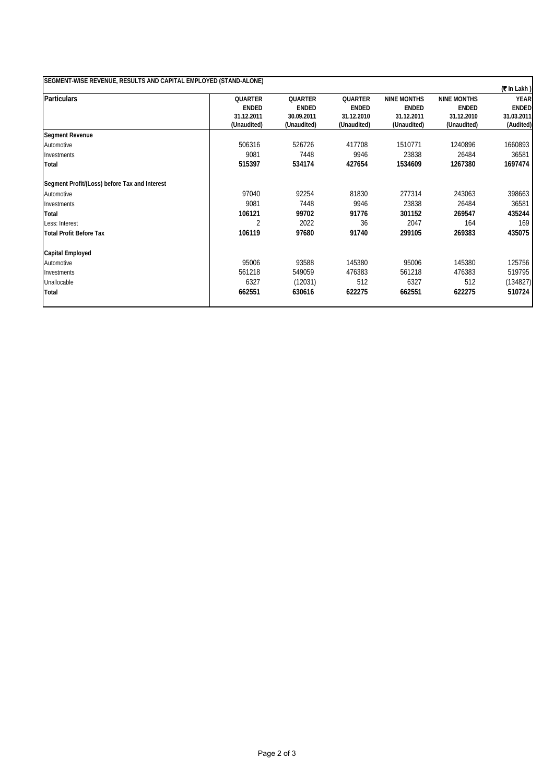| SEGMENT-WISE REVENUE, RESULTS AND CAPITAL EMPLOYED (STAND-ALONE) |                |                |                |                    |                    |               |  |  |  |  |
|------------------------------------------------------------------|----------------|----------------|----------------|--------------------|--------------------|---------------|--|--|--|--|
|                                                                  |                |                |                |                    |                    | $($ ₹In Lakh) |  |  |  |  |
| <b>Particulars</b>                                               | <b>OUARTER</b> | <b>OUARTER</b> | <b>OUARTER</b> | <b>NINE MONTHS</b> | <b>NINE MONTHS</b> | <b>YEAR</b>   |  |  |  |  |
|                                                                  | <b>ENDED</b>   | <b>ENDED</b>   | <b>ENDED</b>   | <b>ENDED</b>       | <b>ENDED</b>       | <b>ENDED</b>  |  |  |  |  |
|                                                                  | 31.12.2011     | 30.09.2011     | 31.12.2010     | 31.12.2011         | 31.12.2010         | 31.03.2011    |  |  |  |  |
|                                                                  | (Unaudited)    | (Unaudited)    | (Unaudited)    | (Unaudited)        | (Unaudited)        | (Audited)     |  |  |  |  |
| <b>Segment Revenue</b>                                           |                |                |                |                    |                    |               |  |  |  |  |
| Automotive                                                       | 506316         | 526726         | 417708         | 1510771            | 1240896            | 1660893       |  |  |  |  |
| Investments                                                      | 9081           | 7448           | 9946           | 23838              | 26484              | 36581         |  |  |  |  |
| Total                                                            | 515397         | 534174         | 427654         | 1534609            | 1267380            | 1697474       |  |  |  |  |
| Segment Profit/(Loss) before Tax and Interest                    |                |                |                |                    |                    |               |  |  |  |  |
| Automotive                                                       | 97040          | 92254          | 81830          | 277314             | 243063             | 398663        |  |  |  |  |
| Investments                                                      | 9081           | 7448           | 9946           | 23838              | 26484              | 36581         |  |  |  |  |
| Total                                                            | 106121         | 99702          | 91776          | 301152             | 269547             | 435244        |  |  |  |  |
| Less: Interest                                                   | ↑              | 2022           | 36             | 2047               | 164                | 169           |  |  |  |  |
| <b>Total Profit Before Tax</b>                                   | 106119         | 97680          | 91740          | 299105             | 269383             | 435075        |  |  |  |  |
| Capital Employed                                                 |                |                |                |                    |                    |               |  |  |  |  |
| Automotive                                                       | 95006          | 93588          | 145380         | 95006              | 145380             | 125756        |  |  |  |  |
| Investments                                                      | 561218         | 549059         | 476383         | 561218             | 476383             | 519795        |  |  |  |  |
| Unallocable                                                      | 6327           | (12031)        | 512            | 6327               | 512                | (134827)      |  |  |  |  |
| Total                                                            | 662551         | 630616         | 622275         | 662551             | 622275             | 510724        |  |  |  |  |
|                                                                  |                |                |                |                    |                    |               |  |  |  |  |